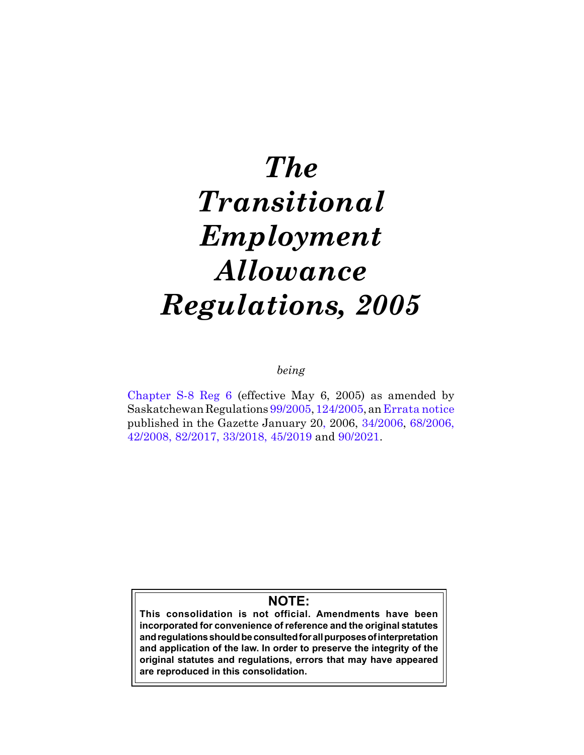# *The Transitional Employment Allowance Regulations, 2005*

*being*

[Chapter S-8 Reg 6](https://publications.saskatchewan.ca:443/api/v1/products/9683/formats/14705/download) (effective May 6, 2005) as amended by Saskatchewan Regulations [99/2005](https://publications.saskatchewan.ca:443/api/v1/products/10517/formats/15926/download), [124/2005](https://publications.saskatchewan.ca:443/api/v1/products/11338/formats/16832/download), an [Errata notice](https://publications.saskatchewan.ca:443/api/v1/products/11539/formats/17117/download) published in the Gazette January 20, 2006, [34/2006,](https://publications.saskatchewan.ca:443/api/v1/products/11876/formats/17622/download) [68/2006](https://publications.saskatchewan.ca:443/api/v1/products/12242/formats/18214/download), [42/2008,](https://publications.saskatchewan.ca:443/api/v1/products/25136/formats/32402/download) [82/2017,](https://publications.saskatchewan.ca:443/api/v1/products/86521/formats/100163/download) [33/2018](https://publications.saskatchewan.ca:443/api/v1/products/89945/formats/106773/download), [45/2019](https://publications.saskatchewan.ca:443/api/v1/products/101577/formats/112317/download) and [90/2021](https://publications.saskatchewan.ca:443/api/v1/products/114740/formats/129689/download).

# **NOTE:**

**This consolidation is not official. Amendments have been incorporated for convenience of reference and the original statutes and regulations should be consulted for all purposes of interpretation and application of the law. In order to preserve the integrity of the original statutes and regulations, errors that may have appeared are reproduced in this consolidation.**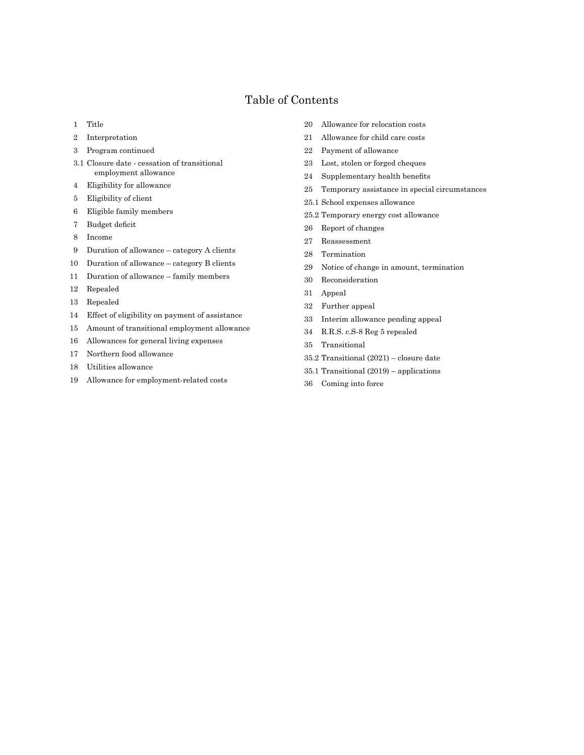# Table of Contents

- Title
- Interpretation
- Program continued
- 3.1 Closure date cessation of transitional employment allowance
- Eligibility for allowance
- Eligibility of client
- Eligible family members
- Budget deficit
- Income
- Duration of allowance category A clients
- Duration of allowance category B clients
- Duration of allowance family members
- Repealed
- Repealed
- Effect of eligibility on payment of assistance
- Amount of transitional employment allowance
- Allowances for general living expenses
- Northern food allowance
- Utilities allowance
- Allowance for employment-related costs
- Allowance for relocation costs
- Allowance for child care costs
- Payment of allowance
- Lost, stolen or forged cheques
- Supplementary health benefits
- Temporary assistance in special circumstances
- 25.1 School expenses allowance
- 25.2 Temporary energy cost allowance
- Report of changes
- Reassessment
- Termination
- Notice of change in amount, termination
- Reconsideration
- Appeal
- Further appeal
- Interim allowance pending appeal
- R.R.S. c.S-8 Reg 5 repealed
- Transitional
- 35.2 Transitional (2021) closure date
- 35.1 Transitional (2019) applications
- Coming into force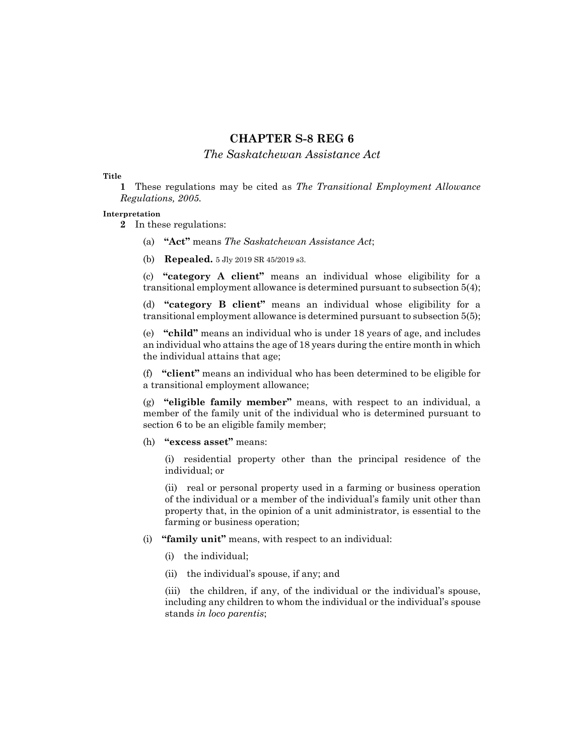# **CHAPTER S-8 REG 6**

## *The Saskatchewan Assistance Act*

#### **Title**

**1** These regulations may be cited as *The Transitional Employment Allowance Regulations, 2005.*

### **Interpretation**

**2** In these regulations:

- (a) **"Act"** means *The Saskatchewan Assistance Act*;
- (b) **Repealed.** 5 Jly 2019 SR 45/2019 s3.

(c) **"category A client"** means an individual whose eligibility for a transitional employment allowance is determined pursuant to subsection 5(4);

(d) **"category B client"** means an individual whose eligibility for a transitional employment allowance is determined pursuant to subsection 5(5);

(e) **"child"** means an individual who is under 18 years of age, and includes an individual who attains the age of 18 years during the entire month in which the individual attains that age;

(f) **"client"** means an individual who has been determined to be eligible for a transitional employment allowance;

(g) **"eligible family member"** means, with respect to an individual, a member of the family unit of the individual who is determined pursuant to section 6 to be an eligible family member;

(h) **"excess asset"** means:

(i) residential property other than the principal residence of the individual; or

(ii) real or personal property used in a farming or business operation of the individual or a member of the individual's family unit other than property that, in the opinion of a unit administrator, is essential to the farming or business operation;

- (i) **"family unit"** means, with respect to an individual:
	- (i) the individual;
	- (ii) the individual's spouse, if any; and

(iii) the children, if any, of the individual or the individual's spouse, including any children to whom the individual or the individual's spouse stands *in loco parentis*;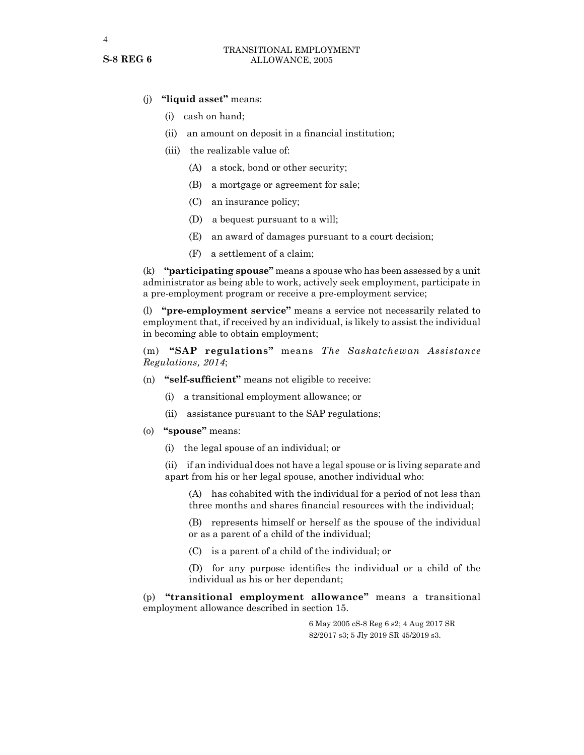## (j) **"liquid asset"** means:

- (i) cash on hand;
- (ii) an amount on deposit in a financial institution;
- (iii) the realizable value of:
	- (A) a stock, bond or other security;
	- (B) a mortgage or agreement for sale;
	- (C) an insurance policy;
	- (D) a bequest pursuant to a will;
	- (E) an award of damages pursuant to a court decision;
	- (F) a settlement of a claim;

(k) **"participating spouse"** means a spouse who has been assessed by a unit administrator as being able to work, actively seek employment, participate in a pre-employment program or receive a pre-employment service;

(l) **"pre-employment service"** means a service not necessarily related to employment that, if received by an individual, is likely to assist the individual in becoming able to obtain employment;

(m) **"SAP regulations"** means *The Saskatchewan Assistance Regulations, 2014*;

- (n) **"self-sufficient"** means not eligible to receive:
	- (i) a transitional employment allowance; or
	- (ii) assistance pursuant to the SAP regulations;
- (o) **"spouse"** means:
	- (i) the legal spouse of an individual; or

(ii) if an individual does not have a legal spouse or is living separate and apart from his or her legal spouse, another individual who:

(A) has cohabited with the individual for a period of not less than three months and shares financial resources with the individual;

(B) represents himself or herself as the spouse of the individual or as a parent of a child of the individual;

(C) is a parent of a child of the individual; or

(D) for any purpose identifies the individual or a child of the individual as his or her dependant;

(p) **"transitional employment allowance"** means a transitional employment allowance described in section 15.

> 6 May 2005 cS-8 Reg 6 s2; 4 Aug 2017 SR 82/2017 s3; 5 Jly 2019 SR 45/2019 s3.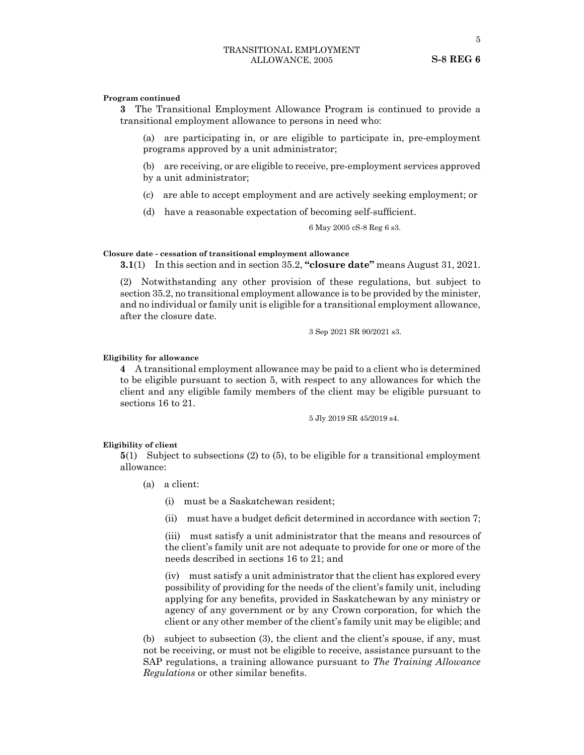#### **Program continued**

**3** The Transitional Employment Allowance Program is continued to provide a transitional employment allowance to persons in need who:

(a) are participating in, or are eligible to participate in, pre-employment programs approved by a unit administrator;

(b) are receiving, or are eligible to receive, pre-employment services approved by a unit administrator;

(c) are able to accept employment and are actively seeking employment; or

(d) have a reasonable expectation of becoming self-sufficient.

6 May 2005 cS-8 Reg 6 s3.

#### **Closure date - cessation of transitional employment allowance**

**3.1**(1) In this section and in section 35.2, **"closure date"** means August 31, 2021.

(2) Notwithstanding any other provision of these regulations, but subject to section 35.2, no transitional employment allowance is to be provided by the minister, and no individual or family unit is eligible for a transitional employment allowance, after the closure date.

3 Sep 2021 SR 90/2021 s3.

#### **Eligibility for allowance**

**4** A transitional employment allowance may be paid to a client who is determined to be eligible pursuant to section 5, with respect to any allowances for which the client and any eligible family members of the client may be eligible pursuant to sections 16 to 21.

5 Jly 2019 SR 45/2019 s4.

#### **Eligibility of client**

**5**(1) Subject to subsections (2) to (5), to be eligible for a transitional employment allowance:

(a) a client:

(i) must be a Saskatchewan resident;

(ii) must have a budget deficit determined in accordance with section 7;

(iii) must satisfy a unit administrator that the means and resources of the client's family unit are not adequate to provide for one or more of the needs described in sections 16 to 21; and

(iv) must satisfy a unit administrator that the client has explored every possibility of providing for the needs of the client's family unit, including applying for any benefits, provided in Saskatchewan by any ministry or agency of any government or by any Crown corporation, for which the client or any other member of the client's family unit may be eligible; and

(b) subject to subsection (3), the client and the client's spouse, if any, must not be receiving, or must not be eligible to receive, assistance pursuant to the SAP regulations, a training allowance pursuant to *The Training Allowance Regulations* or other similar benefits.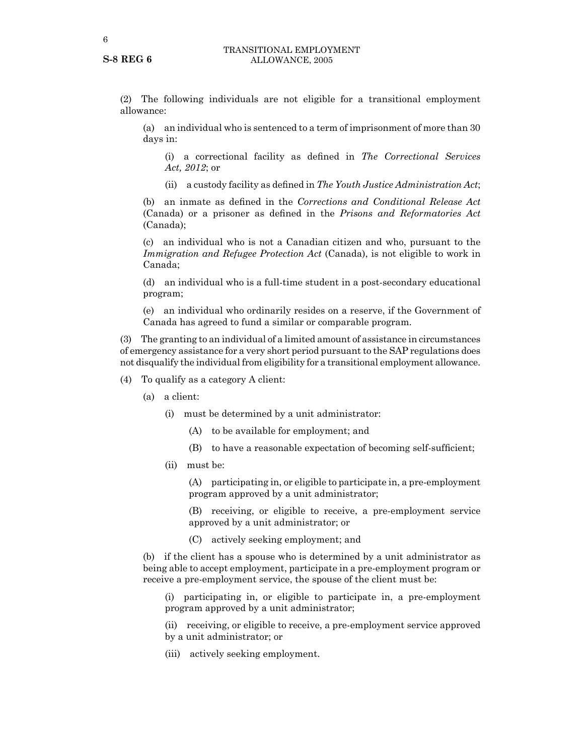(2) The following individuals are not eligible for a transitional employment allowance:

(a) an individual who is sentenced to a term of imprisonment of more than 30 days in:

(i) a correctional facility as defined in *The Correctional Services Act, 2012*; or

(ii) a custody facility as defined in *The Youth Justice Administration Act*;

(b) an inmate as defined in the *Corrections and Conditional Release Act* (Canada) or a prisoner as defined in the *Prisons and Reformatories Act* (Canada);

(c) an individual who is not a Canadian citizen and who, pursuant to the *Immigration and Refugee Protection Act* (Canada), is not eligible to work in Canada;

(d) an individual who is a full-time student in a post-secondary educational program;

(e) an individual who ordinarily resides on a reserve, if the Government of Canada has agreed to fund a similar or comparable program.

(3) The granting to an individual of a limited amount of assistance in circumstances of emergency assistance for a very short period pursuant to the SAP regulations does not disqualify the individual from eligibility for a transitional employment allowance.

- (4) To qualify as a category A client:
	- (a) a client:
		- (i) must be determined by a unit administrator:
			- (A) to be available for employment; and
			- (B) to have a reasonable expectation of becoming self-sufficient;
		- (ii) must be:

(A) participating in, or eligible to participate in, a pre-employment program approved by a unit administrator;

(B) receiving, or eligible to receive, a pre-employment service approved by a unit administrator; or

(C) actively seeking employment; and

(b) if the client has a spouse who is determined by a unit administrator as being able to accept employment, participate in a pre-employment program or receive a pre-employment service, the spouse of the client must be:

(i) participating in, or eligible to participate in, a pre-employment program approved by a unit administrator;

(ii) receiving, or eligible to receive, a pre-employment service approved by a unit administrator; or

(iii) actively seeking employment.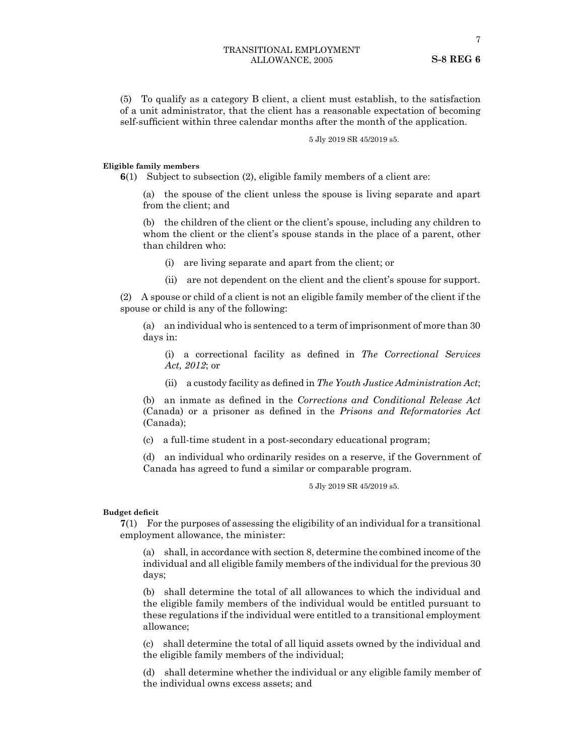7

(5) To qualify as a category B client, a client must establish, to the satisfaction of a unit administrator, that the client has a reasonable expectation of becoming self-sufficient within three calendar months after the month of the application.

5 Jly 2019 SR 45/2019 s5.

#### **Eligible family members**

**6**(1) Subject to subsection (2), eligible family members of a client are:

(a) the spouse of the client unless the spouse is living separate and apart from the client; and

(b) the children of the client or the client's spouse, including any children to whom the client or the client's spouse stands in the place of a parent, other than children who:

- (i) are living separate and apart from the client; or
- (ii) are not dependent on the client and the client's spouse for support.

(2) A spouse or child of a client is not an eligible family member of the client if the spouse or child is any of the following:

(a) an individual who is sentenced to a term of imprisonment of more than 30 days in:

(i) a correctional facility as defined in *The Correctional Services Act, 2012*; or

(ii) a custody facility as defined in *The Youth Justice Administration Act*;

(b) an inmate as defined in the *Corrections and Conditional Release Act* (Canada) or a prisoner as defined in the *Prisons and Reformatories Act* (Canada);

(c) a full-time student in a post-secondary educational program;

(d) an individual who ordinarily resides on a reserve, if the Government of Canada has agreed to fund a similar or comparable program.

5 Jly 2019 SR 45/2019 s5.

#### **Budget deficit**

**7**(1) For the purposes of assessing the eligibility of an individual for a transitional employment allowance, the minister:

(a) shall, in accordance with section 8, determine the combined income of the individual and all eligible family members of the individual for the previous 30 days;

(b) shall determine the total of all allowances to which the individual and the eligible family members of the individual would be entitled pursuant to these regulations if the individual were entitled to a transitional employment allowance;

(c) shall determine the total of all liquid assets owned by the individual and the eligible family members of the individual;

(d) shall determine whether the individual or any eligible family member of the individual owns excess assets; and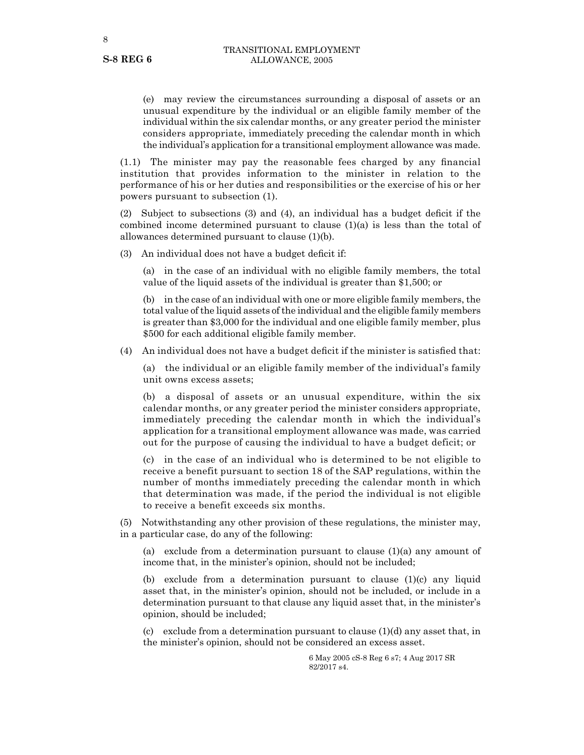(e) may review the circumstances surrounding a disposal of assets or an unusual expenditure by the individual or an eligible family member of the individual within the six calendar months, or any greater period the minister considers appropriate, immediately preceding the calendar month in which the individual's application for a transitional employment allowance was made.

(1.1) The minister may pay the reasonable fees charged by any financial institution that provides information to the minister in relation to the performance of his or her duties and responsibilities or the exercise of his or her powers pursuant to subsection (1).

(2) Subject to subsections (3) and (4), an individual has a budget deficit if the combined income determined pursuant to clause (1)(a) is less than the total of allowances determined pursuant to clause (1)(b).

(3) An individual does not have a budget deficit if:

(a) in the case of an individual with no eligible family members, the total value of the liquid assets of the individual is greater than \$1,500; or

(b) in the case of an individual with one or more eligible family members, the total value of the liquid assets of the individual and the eligible family members is greater than \$3,000 for the individual and one eligible family member, plus \$500 for each additional eligible family member.

(4) An individual does not have a budget deficit if the minister is satisfied that:

(a) the individual or an eligible family member of the individual's family unit owns excess assets;

(b) a disposal of assets or an unusual expenditure, within the six calendar months, or any greater period the minister considers appropriate, immediately preceding the calendar month in which the individual's application for a transitional employment allowance was made, was carried out for the purpose of causing the individual to have a budget deficit; or

(c) in the case of an individual who is determined to be not eligible to receive a benefit pursuant to section 18 of the SAP regulations, within the number of months immediately preceding the calendar month in which that determination was made, if the period the individual is not eligible to receive a benefit exceeds six months.

(5) Notwithstanding any other provision of these regulations, the minister may, in a particular case, do any of the following:

(a) exclude from a determination pursuant to clause  $(1)(a)$  any amount of income that, in the minister's opinion, should not be included;

(b) exclude from a determination pursuant to clause (1)(c) any liquid asset that, in the minister's opinion, should not be included, or include in a determination pursuant to that clause any liquid asset that, in the minister's opinion, should be included;

(c) exclude from a determination pursuant to clause  $(1)(d)$  any asset that, in the minister's opinion, should not be considered an excess asset.

> 6 May 2005 cS-8 Reg 6 s7; 4 Aug 2017 SR 82/2017 s4.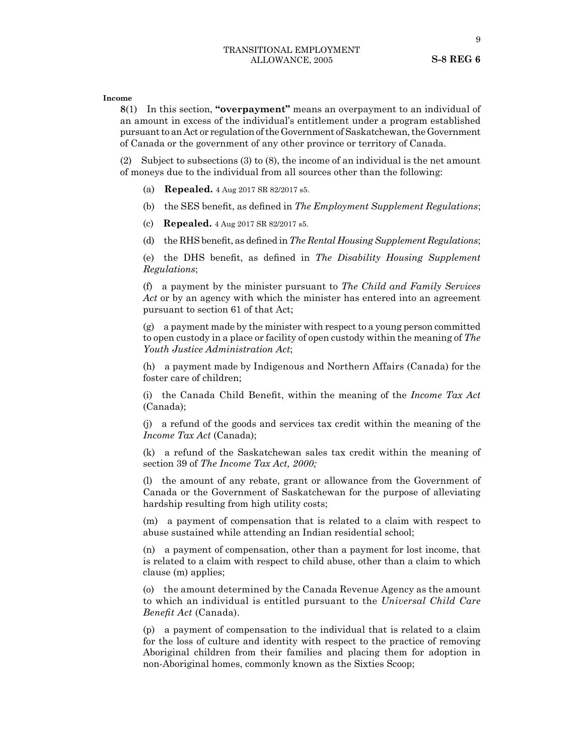9

**Income**

**8**(1) In this section, **"overpayment"** means an overpayment to an individual of an amount in excess of the individual's entitlement under a program established pursuant to an Act or regulation of the Government of Saskatchewan, the Government of Canada or the government of any other province or territory of Canada.

(2) Subject to subsections (3) to (8), the income of an individual is the net amount of moneys due to the individual from all sources other than the following:

- (a) **Repealed.** 4 Aug 2017 SR 82/2017 s5.
- (b) the SES benefit, as defined in *The Employment Supplement Regulations*;
- (c) **Repealed.** 4 Aug 2017 SR 82/2017 s5.
- (d) the RHS benefit, as defined in*The Rental Housing Supplement Regulations*;

(e) the DHS benefit, as defined in *The Disability Housing Supplement Regulations*;

(f) a payment by the minister pursuant to *The Child and Family Services Act* or by an agency with which the minister has entered into an agreement pursuant to section 61 of that Act;

(g) a payment made by the minister with respect to a young person committed to open custody in a place or facility of open custody within the meaning of *The Youth Justice Administration Act*;

(h) a payment made by Indigenous and Northern Affairs (Canada) for the foster care of children;

(i) the Canada Child Benefit, within the meaning of the *Income Tax Act* (Canada);

(j) a refund of the goods and services tax credit within the meaning of the *Income Tax Act* (Canada);

(k) a refund of the Saskatchewan sales tax credit within the meaning of section 39 of *The Income Tax Act, 2000;*

(l) the amount of any rebate, grant or allowance from the Government of Canada or the Government of Saskatchewan for the purpose of alleviating hardship resulting from high utility costs;

(m) a payment of compensation that is related to a claim with respect to abuse sustained while attending an Indian residential school;

(n) a payment of compensation, other than a payment for lost income, that is related to a claim with respect to child abuse, other than a claim to which clause (m) applies;

(o) the amount determined by the Canada Revenue Agency as the amount to which an individual is entitled pursuant to the *Universal Child Care Benefit Act* (Canada).

(p) a payment of compensation to the individual that is related to a claim for the loss of culture and identity with respect to the practice of removing Aboriginal children from their families and placing them for adoption in non-Aboriginal homes, commonly known as the Sixties Scoop;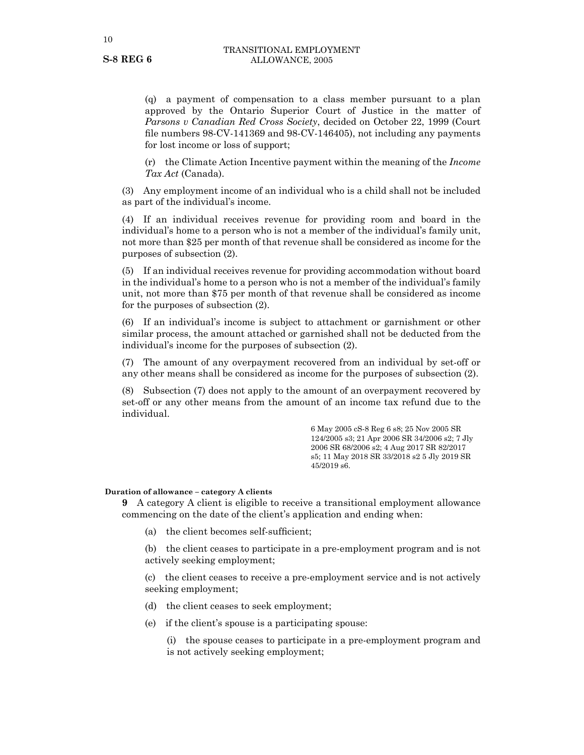(q) a payment of compensation to a class member pursuant to a plan approved by the Ontario Superior Court of Justice in the matter of *Parsons v Canadian Red Cross Society*, decided on October 22, 1999 (Court file numbers 98‑CV‑141369 and 98‑CV‑146405), not including any payments for lost income or loss of support;

(r) the Climate Action Incentive payment within the meaning of the *Income Tax Act* (Canada).

(3) Any employment income of an individual who is a child shall not be included as part of the individual's income.

(4) If an individual receives revenue for providing room and board in the individual's home to a person who is not a member of the individual's family unit, not more than \$25 per month of that revenue shall be considered as income for the purposes of subsection (2).

(5) If an individual receives revenue for providing accommodation without board in the individual's home to a person who is not a member of the individual's family unit, not more than \$75 per month of that revenue shall be considered as income for the purposes of subsection (2).

(6) If an individual's income is subject to attachment or garnishment or other similar process, the amount attached or garnished shall not be deducted from the individual's income for the purposes of subsection (2).

(7) The amount of any overpayment recovered from an individual by set-off or any other means shall be considered as income for the purposes of subsection (2).

(8) Subsection (7) does not apply to the amount of an overpayment recovered by set-off or any other means from the amount of an income tax refund due to the individual.

> 6 May 2005 cS-8 Reg 6 s8; 25 Nov 2005 SR 124/2005 s3; 21 Apr 2006 SR 34/2006 s2; 7 Jly 2006 SR 68/2006 s2; 4 Aug 2017 SR 82/2017 s5; 11 May 2018 SR 33/2018 s2 5 Jly 2019 SR 45/2019 s6.

#### **Duration of allowance – category A clients**

**9** A category A client is eligible to receive a transitional employment allowance commencing on the date of the client's application and ending when:

(a) the client becomes self-sufficient;

(b) the client ceases to participate in a pre-employment program and is not actively seeking employment;

(c) the client ceases to receive a pre-employment service and is not actively seeking employment;

- (d) the client ceases to seek employment;
- (e) if the client's spouse is a participating spouse:

(i) the spouse ceases to participate in a pre-employment program and is not actively seeking employment;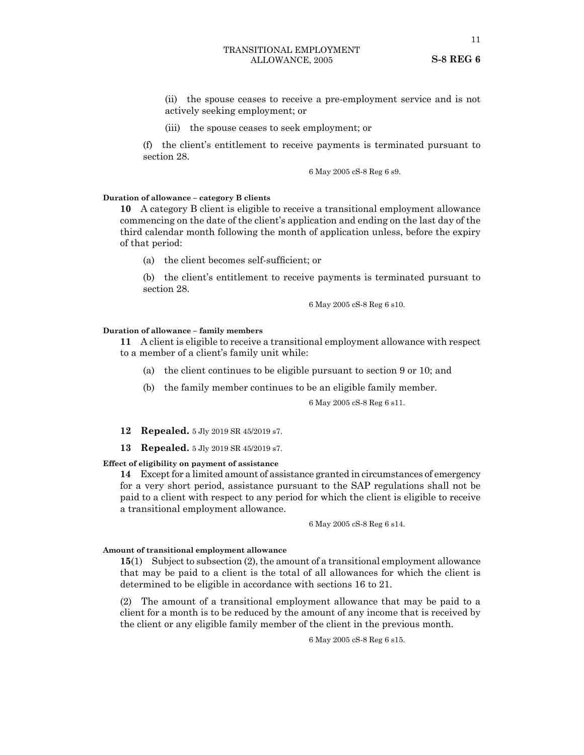- (ii) the spouse ceases to receive a pre-employment service and is not actively seeking employment; or
- (iii) the spouse ceases to seek employment; or

(f) the client's entitlement to receive payments is terminated pursuant to section 28.

6 May 2005 cS-8 Reg 6 s9.

#### **Duration of allowance – category B clients**

**10** A category B client is eligible to receive a transitional employment allowance commencing on the date of the client's application and ending on the last day of the third calendar month following the month of application unless, before the expiry of that period:

(a) the client becomes self-sufficient; or

(b) the client's entitlement to receive payments is terminated pursuant to section 28.

6 May 2005 cS-8 Reg 6 s10.

#### **Duration of allowance – family members**

**11** A client is eligible to receive a transitional employment allowance with respect to a member of a client's family unit while:

- (a) the client continues to be eligible pursuant to section 9 or 10; and
- (b) the family member continues to be an eligible family member.

6 May 2005 cS-8 Reg 6 s11.

- **12 Repealed.** 5 Jly 2019 SR 45/2019 s7.
- **13 Repealed.** 5 Jly 2019 SR 45/2019 s7.

#### **Effect of eligibility on payment of assistance**

**14** Except for a limited amount of assistance granted in circumstances of emergency for a very short period, assistance pursuant to the SAP regulations shall not be paid to a client with respect to any period for which the client is eligible to receive a transitional employment allowance.

6 May 2005 cS-8 Reg 6 s14.

#### **Amount of transitional employment allowance**

**15**(1) Subject to subsection (2), the amount of a transitional employment allowance that may be paid to a client is the total of all allowances for which the client is determined to be eligible in accordance with sections 16 to 21.

(2) The amount of a transitional employment allowance that may be paid to a client for a month is to be reduced by the amount of any income that is received by the client or any eligible family member of the client in the previous month.

6 May 2005 cS-8 Reg 6 s15.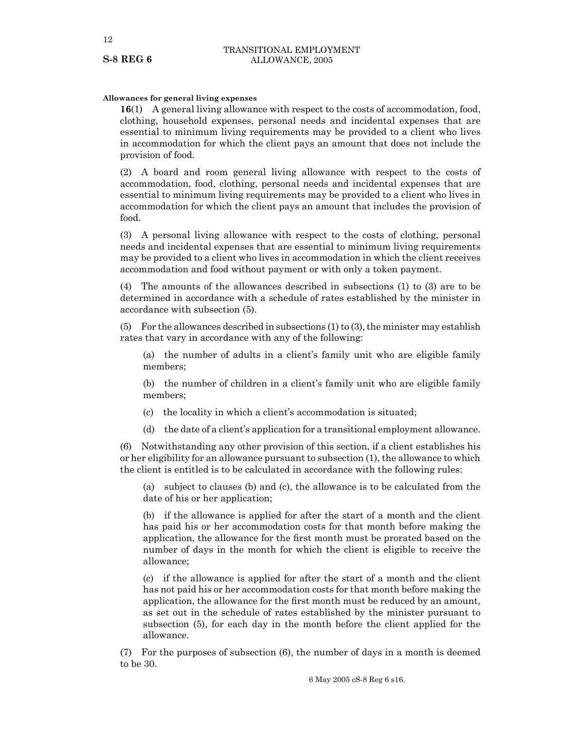#### **Allowances for general living expenses**

**16**(1) A general living allowance with respect to the costs of accommodation, food, clothing, household expenses, personal needs and incidental expenses that are essential to minimum living requirements may be provided to a client who lives in accommodation for which the client pays an amount that does not include the provision of food.

(2) A board and room general living allowance with respect to the costs of accommodation, food, clothing, personal needs and incidental expenses that are essential to minimum living requirements may be provided to a client who lives in accommodation for which the client pays an amount that includes the provision of food.

(3) A personal living allowance with respect to the costs of clothing, personal needs and incidental expenses that are essential to minimum living requirements may be provided to a client who lives in accommodation in which the client receives accommodation and food without payment or with only a token payment.

(4) The amounts of the allowances described in subsections (1) to (3) are to be determined in accordance with a schedule of rates established by the minister in accordance with subsection (5).

(5) For the allowances described in subsections (1) to (3), the minister may establish rates that vary in accordance with any of the following:

(a) the number of adults in a client's family unit who are eligible family members;

(b) the number of children in a client's family unit who are eligible family members;

(c) the locality in which a client's accommodation is situated;

(d) the date of a client's application for a transitional employment allowance.

(6) Notwithstanding any other provision of this section, if a client establishes his or her eligibility for an allowance pursuant to subsection (1), the allowance to which the client is entitled is to be calculated in accordance with the following rules:

(a) subject to clauses (b) and (c), the allowance is to be calculated from the date of his or her application;

(b) if the allowance is applied for after the start of a month and the client has paid his or her accommodation costs for that month before making the application, the allowance for the first month must be prorated based on the number of days in the month for which the client is eligible to receive the allowance;

(c) if the allowance is applied for after the start of a month and the client has not paid his or her accommodation costs for that month before making the application, the allowance for the first month must be reduced by an amount, as set out in the schedule of rates established by the minister pursuant to subsection (5), for each day in the month before the client applied for the allowance.

(7) For the purposes of subsection (6), the number of days in a month is deemed to be 30.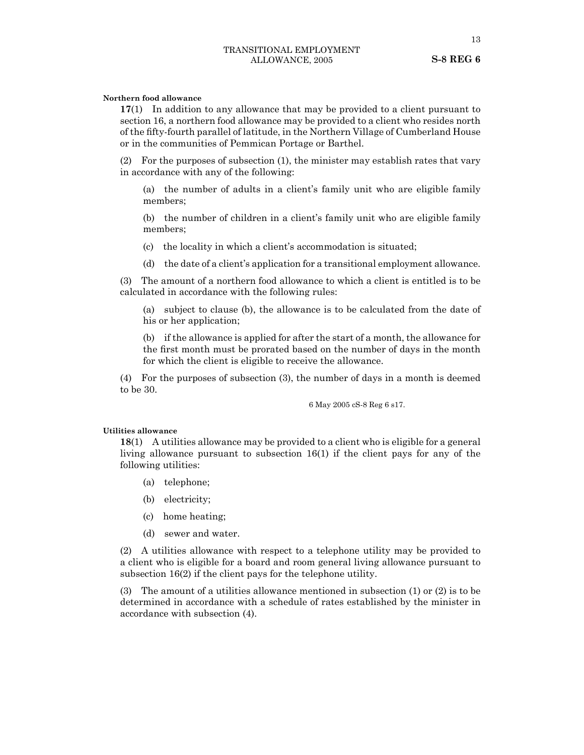13

#### **Northern food allowance**

**17**(1) In addition to any allowance that may be provided to a client pursuant to section 16, a northern food allowance may be provided to a client who resides north of the fifty-fourth parallel of latitude, in the Northern Village of Cumberland House or in the communities of Pemmican Portage or Barthel.

(2) For the purposes of subsection (1), the minister may establish rates that vary in accordance with any of the following:

(a) the number of adults in a client's family unit who are eligible family members;

(b) the number of children in a client's family unit who are eligible family members;

(c) the locality in which a client's accommodation is situated;

(d) the date of a client's application for a transitional employment allowance.

(3) The amount of a northern food allowance to which a client is entitled is to be calculated in accordance with the following rules:

(a) subject to clause (b), the allowance is to be calculated from the date of his or her application;

(b) if the allowance is applied for after the start of a month, the allowance for the first month must be prorated based on the number of days in the month for which the client is eligible to receive the allowance.

(4) For the purposes of subsection (3), the number of days in a month is deemed to be 30.

6 May 2005 cS-8 Reg 6 s17.

#### **Utilities allowance**

**18**(1) A utilities allowance may be provided to a client who is eligible for a general living allowance pursuant to subsection 16(1) if the client pays for any of the following utilities:

- (a) telephone;
- (b) electricity;
- (c) home heating;
- (d) sewer and water.

(2) A utilities allowance with respect to a telephone utility may be provided to a client who is eligible for a board and room general living allowance pursuant to subsection 16(2) if the client pays for the telephone utility.

(3) The amount of a utilities allowance mentioned in subsection (1) or (2) is to be determined in accordance with a schedule of rates established by the minister in accordance with subsection (4).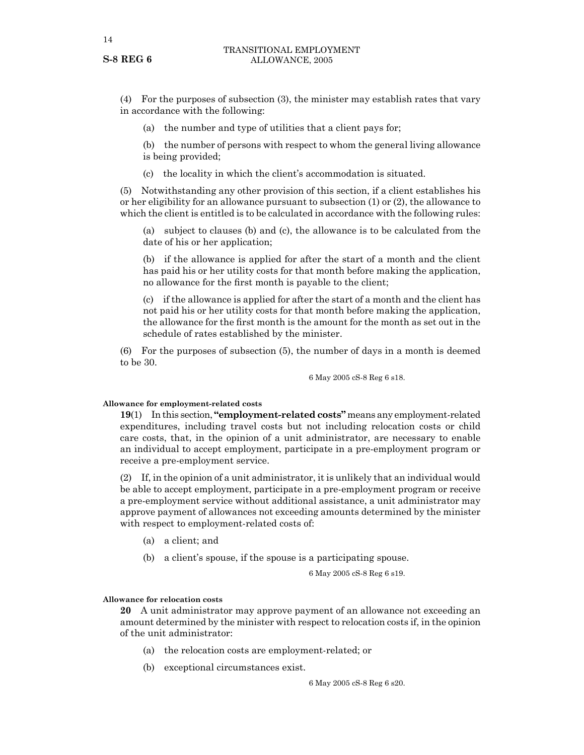(4) For the purposes of subsection (3), the minister may establish rates that vary in accordance with the following:

(a) the number and type of utilities that a client pays for;

(b) the number of persons with respect to whom the general living allowance is being provided;

(c) the locality in which the client's accommodation is situated.

(5) Notwithstanding any other provision of this section, if a client establishes his or her eligibility for an allowance pursuant to subsection (1) or (2), the allowance to which the client is entitled is to be calculated in accordance with the following rules:

(a) subject to clauses (b) and (c), the allowance is to be calculated from the date of his or her application;

(b) if the allowance is applied for after the start of a month and the client has paid his or her utility costs for that month before making the application, no allowance for the first month is payable to the client;

(c) if the allowance is applied for after the start of a month and the client has not paid his or her utility costs for that month before making the application, the allowance for the first month is the amount for the month as set out in the schedule of rates established by the minister.

(6) For the purposes of subsection (5), the number of days in a month is deemed to be 30.

6 May 2005 cS-8 Reg 6 s18.

#### **Allowance for employment-related costs**

**19**(1) In this section, **"employment-related costs"** means any employment-related expenditures, including travel costs but not including relocation costs or child care costs, that, in the opinion of a unit administrator, are necessary to enable an individual to accept employment, participate in a pre-employment program or receive a pre-employment service.

(2) If, in the opinion of a unit administrator, it is unlikely that an individual would be able to accept employment, participate in a pre-employment program or receive a pre-employment service without additional assistance, a unit administrator may approve payment of allowances not exceeding amounts determined by the minister with respect to employment-related costs of:

- (a) a client; and
- (b) a client's spouse, if the spouse is a participating spouse.

6 May 2005 cS-8 Reg 6 s19.

#### **Allowance for relocation costs**

**20** A unit administrator may approve payment of an allowance not exceeding an amount determined by the minister with respect to relocation costs if, in the opinion of the unit administrator:

- (a) the relocation costs are employment-related; or
- (b) exceptional circumstances exist.

6 May 2005 cS-8 Reg 6 s20.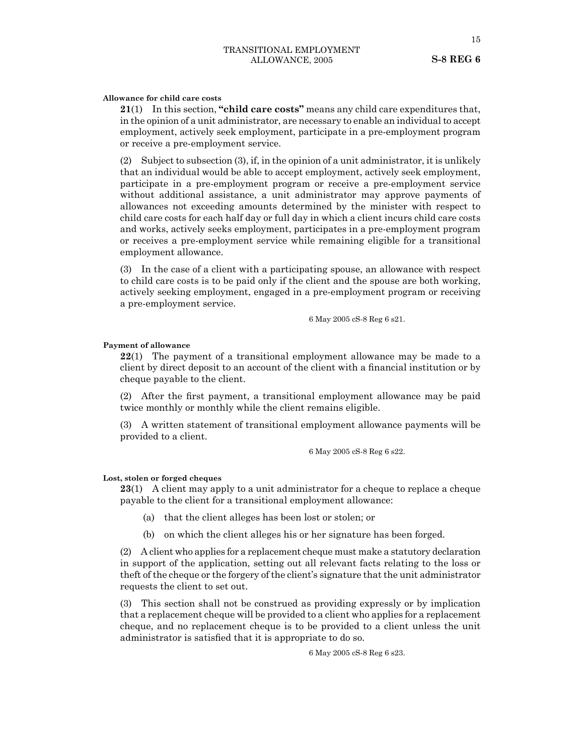15

#### **Allowance for child care costs**

**21**(1) In this section, **"child care costs"** means any child care expenditures that, in the opinion of a unit administrator, are necessary to enable an individual to accept employment, actively seek employment, participate in a pre-employment program or receive a pre-employment service.

(2) Subject to subsection  $(3)$ , if, in the opinion of a unit administrator, it is unlikely that an individual would be able to accept employment, actively seek employment, participate in a pre-employment program or receive a pre-employment service without additional assistance, a unit administrator may approve payments of allowances not exceeding amounts determined by the minister with respect to child care costs for each half day or full day in which a client incurs child care costs and works, actively seeks employment, participates in a pre-employment program or receives a pre-employment service while remaining eligible for a transitional employment allowance.

(3) In the case of a client with a participating spouse, an allowance with respect to child care costs is to be paid only if the client and the spouse are both working, actively seeking employment, engaged in a pre-employment program or receiving a pre-employment service.

6 May 2005 cS-8 Reg 6 s21.

#### **Payment of allowance**

**22**(1) The payment of a transitional employment allowance may be made to a client by direct deposit to an account of the client with a financial institution or by cheque payable to the client.

(2) After the first payment, a transitional employment allowance may be paid twice monthly or monthly while the client remains eligible.

(3) A written statement of transitional employment allowance payments will be provided to a client.

6 May 2005 cS-8 Reg 6 s22.

#### **Lost, stolen or forged cheques**

**23**(1) A client may apply to a unit administrator for a cheque to replace a cheque payable to the client for a transitional employment allowance:

- (a) that the client alleges has been lost or stolen; or
- (b) on which the client alleges his or her signature has been forged.

(2) A client who applies for a replacement cheque must make a statutory declaration in support of the application, setting out all relevant facts relating to the loss or theft of the cheque or the forgery of the client's signature that the unit administrator requests the client to set out.

(3) This section shall not be construed as providing expressly or by implication that a replacement cheque will be provided to a client who applies for a replacement cheque, and no replacement cheque is to be provided to a client unless the unit administrator is satisfied that it is appropriate to do so.

6 May 2005 cS-8 Reg 6 s23.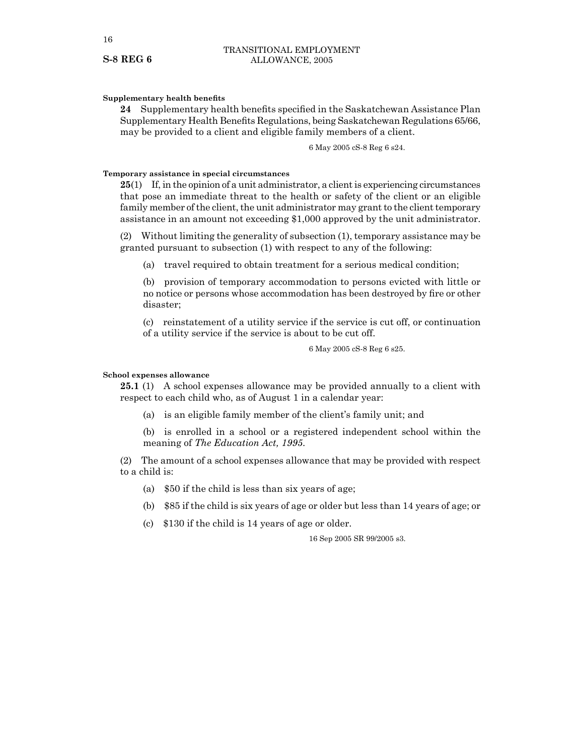#### **Supplementary health benefits**

**24** Supplementary health benefits specified in the Saskatchewan Assistance Plan Supplementary Health Benefits Regulations, being Saskatchewan Regulations 65/66, may be provided to a client and eligible family members of a client.

6 May 2005 cS-8 Reg 6 s24.

#### **Temporary assistance in special circumstances**

**25**(1) If, in the opinion of a unit administrator, a client is experiencing circumstances that pose an immediate threat to the health or safety of the client or an eligible family member of the client, the unit administrator may grant to the client temporary assistance in an amount not exceeding \$1,000 approved by the unit administrator.

(2) Without limiting the generality of subsection (1), temporary assistance may be granted pursuant to subsection (1) with respect to any of the following:

(a) travel required to obtain treatment for a serious medical condition;

(b) provision of temporary accommodation to persons evicted with little or no notice or persons whose accommodation has been destroyed by fire or other disaster;

(c) reinstatement of a utility service if the service is cut off, or continuation of a utility service if the service is about to be cut off.

6 May 2005 cS-8 Reg 6 s25.

#### **School expenses allowance**

**25.1** (1) A school expenses allowance may be provided annually to a client with respect to each child who, as of August 1 in a calendar year:

(a) is an eligible family member of the client's family unit; and

(b) is enrolled in a school or a registered independent school within the meaning of *The Education Act, 1995*.

(2) The amount of a school expenses allowance that may be provided with respect to a child is:

- (a) \$50 if the child is less than six years of age;
- (b) \$85 if the child is six years of age or older but less than 14 years of age; or
- (c) \$130 if the child is 14 years of age or older.

16 Sep 2005 SR 99/2005 s3.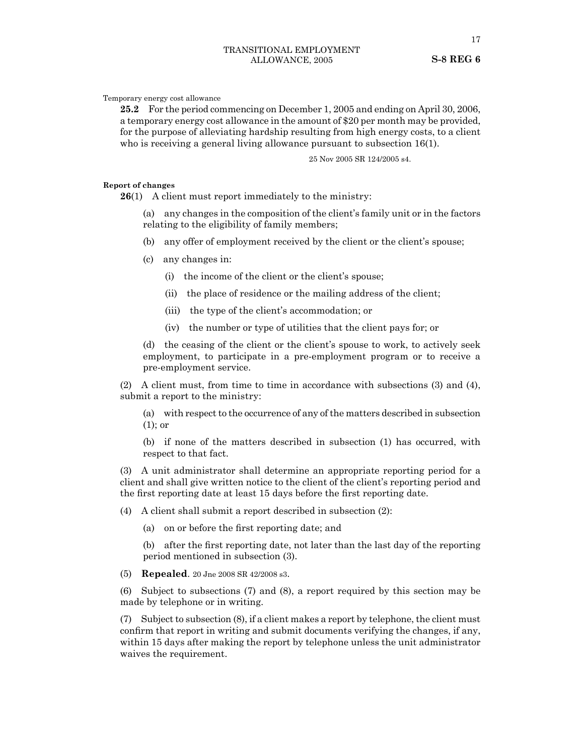Temporary energy cost allowance

**25.2** For the period commencing on December 1, 2005 and ending on April 30, 2006, a temporary energy cost allowance in the amount of \$20 per month may be provided, for the purpose of alleviating hardship resulting from high energy costs, to a client who is receiving a general living allowance pursuant to subsection 16(1).

25 Nov 2005 SR 124/2005 s4.

#### **Report of changes**

**26**(1) A client must report immediately to the ministry:

(a) any changes in the composition of the client's family unit or in the factors relating to the eligibility of family members;

- (b) any offer of employment received by the client or the client's spouse;
- (c) any changes in:
	- (i) the income of the client or the client's spouse;
	- (ii) the place of residence or the mailing address of the client;
	- (iii) the type of the client's accommodation; or
	- (iv) the number or type of utilities that the client pays for; or

(d) the ceasing of the client or the client's spouse to work, to actively seek employment, to participate in a pre-employment program or to receive a pre-employment service.

(2) A client must, from time to time in accordance with subsections (3) and (4), submit a report to the ministry:

(a) with respect to the occurrence of any of the matters described in subsection (1); or

(b) if none of the matters described in subsection (1) has occurred, with respect to that fact.

(3) A unit administrator shall determine an appropriate reporting period for a client and shall give written notice to the client of the client's reporting period and the first reporting date at least 15 days before the first reporting date.

(4) A client shall submit a report described in subsection (2):

(a) on or before the first reporting date; and

(b) after the first reporting date, not later than the last day of the reporting period mentioned in subsection (3).

(5) **Repealed**. 20 Jne 2008 SR 42/2008 s3.

(6) Subject to subsections (7) and (8), a report required by this section may be made by telephone or in writing.

(7) Subject to subsection (8), if a client makes a report by telephone, the client must confirm that report in writing and submit documents verifying the changes, if any, within 15 days after making the report by telephone unless the unit administrator waives the requirement.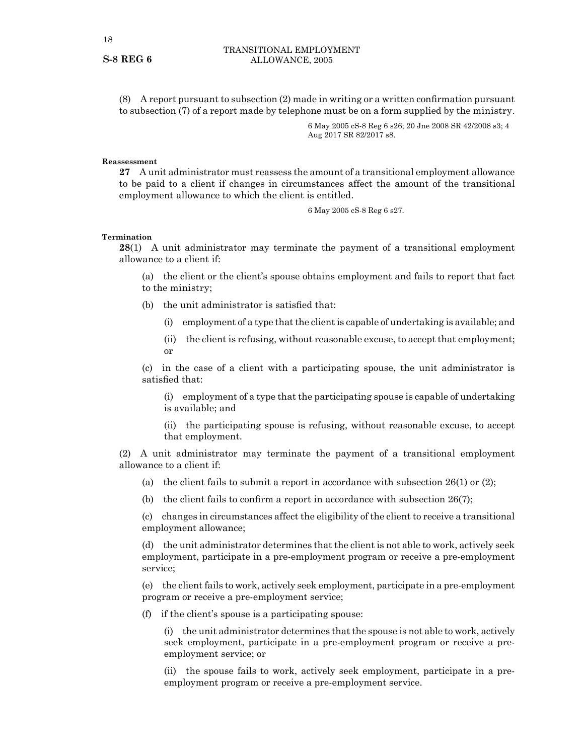(8) A report pursuant to subsection (2) made in writing or a written confirmation pursuant to subsection (7) of a report made by telephone must be on a form supplied by the ministry.

> 6 May 2005 cS-8 Reg 6 s26; 20 Jne 2008 SR 42/2008 s3; 4 Aug 2017 SR 82/2017 s8.

#### **Reassessment**

**27** A unit administrator must reassess the amount of a transitional employment allowance to be paid to a client if changes in circumstances affect the amount of the transitional employment allowance to which the client is entitled.

6 May 2005 cS-8 Reg 6 s27.

#### **Termination**

**28**(1) A unit administrator may terminate the payment of a transitional employment allowance to a client if:

(a) the client or the client's spouse obtains employment and fails to report that fact to the ministry;

(b) the unit administrator is satisfied that:

- (i) employment of a type that the client is capable of undertaking is available; and
- (ii) the client is refusing, without reasonable excuse, to accept that employment; or

(c) in the case of a client with a participating spouse, the unit administrator is satisfied that:

(i) employment of a type that the participating spouse is capable of undertaking is available; and

(ii) the participating spouse is refusing, without reasonable excuse, to accept that employment.

(2) A unit administrator may terminate the payment of a transitional employment allowance to a client if:

- (a) the client fails to submit a report in accordance with subsection  $26(1)$  or  $(2)$ ;
- (b) the client fails to confirm a report in accordance with subsection  $26(7)$ ;

(c) changes in circumstances affect the eligibility of the client to receive a transitional employment allowance;

(d) the unit administrator determines that the client is not able to work, actively seek employment, participate in a pre-employment program or receive a pre-employment service;

(e) the client fails to work, actively seek employment, participate in a pre-employment program or receive a pre-employment service;

(f) if the client's spouse is a participating spouse:

(i) the unit administrator determines that the spouse is not able to work, actively seek employment, participate in a pre-employment program or receive a preemployment service; or

(ii) the spouse fails to work, actively seek employment, participate in a preemployment program or receive a pre-employment service.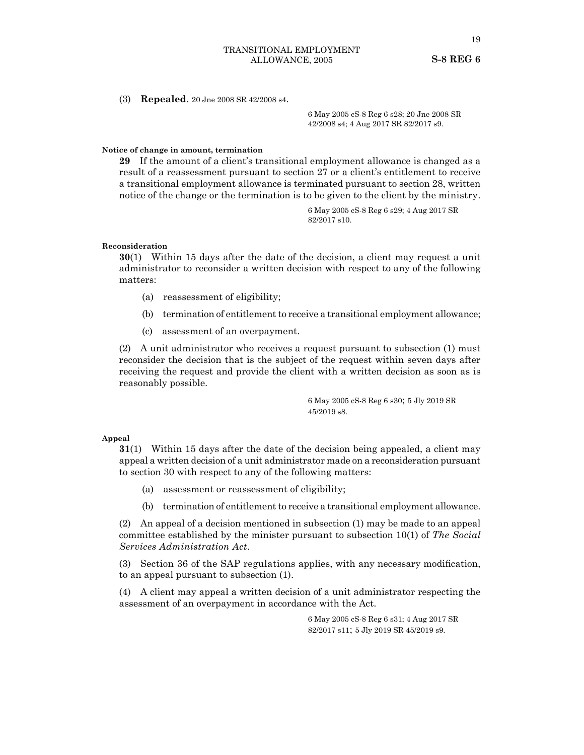(3) **Repealed**. 20 Jne 2008 SR 42/2008 s4.

6 May 2005 cS-8 Reg 6 s28; 20 Jne 2008 SR 42/2008 s4; 4 Aug 2017 SR 82/2017 s9.

#### **Notice of change in amount, termination**

**29** If the amount of a client's transitional employment allowance is changed as a result of a reassessment pursuant to section 27 or a client's entitlement to receive a transitional employment allowance is terminated pursuant to section 28, written notice of the change or the termination is to be given to the client by the ministry.

> 6 May 2005 cS-8 Reg 6 s29; 4 Aug 2017 SR 82/2017 s10.

#### **Reconsideration**

**30**(1) Within 15 days after the date of the decision, a client may request a unit administrator to reconsider a written decision with respect to any of the following matters:

- (a) reassessment of eligibility;
- (b) termination of entitlement to receive a transitional employment allowance;
- (c) assessment of an overpayment.

(2) A unit administrator who receives a request pursuant to subsection (1) must reconsider the decision that is the subject of the request within seven days after receiving the request and provide the client with a written decision as soon as is reasonably possible.

> 6 May 2005 cS-8 Reg 6 s30; 5 Jly 2019 SR 45/2019 s8.

#### **Appeal**

**31**(1) Within 15 days after the date of the decision being appealed, a client may appeal a written decision of a unit administrator made on a reconsideration pursuant to section 30 with respect to any of the following matters:

- (a) assessment or reassessment of eligibility;
- (b) termination of entitlement to receive a transitional employment allowance.

(2) An appeal of a decision mentioned in subsection (1) may be made to an appeal committee established by the minister pursuant to subsection 10(1) of *The Social Services Administration Act*.

(3) Section 36 of the SAP regulations applies, with any necessary modification, to an appeal pursuant to subsection (1).

(4) A client may appeal a written decision of a unit administrator respecting the assessment of an overpayment in accordance with the Act.

> 6 May 2005 cS-8 Reg 6 s31; 4 Aug 2017 SR 82/2017 s11; 5 Jly 2019 SR 45/2019 s9.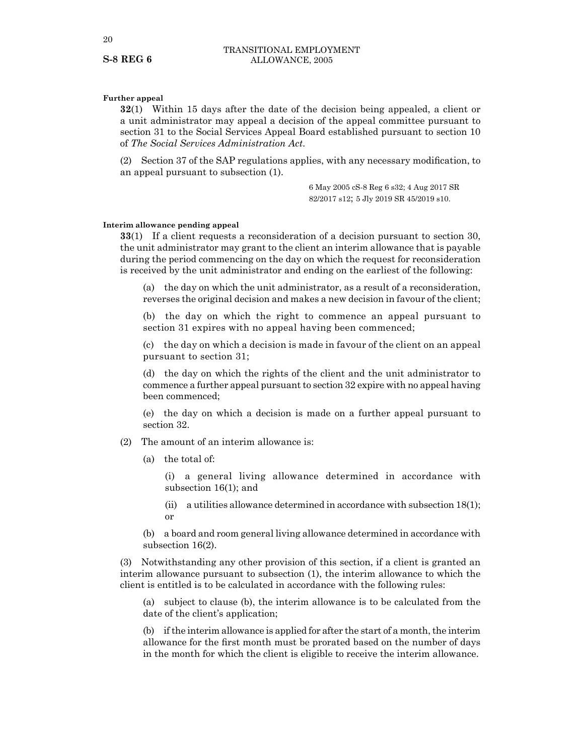#### **Further appeal**

**32**(1) Within 15 days after the date of the decision being appealed, a client or a unit administrator may appeal a decision of the appeal committee pursuant to section 31 to the Social Services Appeal Board established pursuant to section 10 of *The Social Services Administration Act*.

(2) Section 37 of the SAP regulations applies, with any necessary modification, to an appeal pursuant to subsection (1).

> 6 May 2005 cS-8 Reg 6 s32; 4 Aug 2017 SR 82/2017 s12; 5 Jly 2019 SR 45/2019 s10.

#### **Interim allowance pending appeal**

**33**(1) If a client requests a reconsideration of a decision pursuant to section 30, the unit administrator may grant to the client an interim allowance that is payable during the period commencing on the day on which the request for reconsideration is received by the unit administrator and ending on the earliest of the following:

(a) the day on which the unit administrator, as a result of a reconsideration, reverses the original decision and makes a new decision in favour of the client;

(b) the day on which the right to commence an appeal pursuant to section 31 expires with no appeal having been commenced;

(c) the day on which a decision is made in favour of the client on an appeal pursuant to section 31;

(d) the day on which the rights of the client and the unit administrator to commence a further appeal pursuant to section 32 expire with no appeal having been commenced;

(e) the day on which a decision is made on a further appeal pursuant to section 32.

(2) The amount of an interim allowance is:

(a) the total of:

(i) a general living allowance determined in accordance with subsection 16(1); and

(ii) a utilities allowance determined in accordance with subsection 18(1); or

(b) a board and room general living allowance determined in accordance with subsection 16(2).

(3) Notwithstanding any other provision of this section, if a client is granted an interim allowance pursuant to subsection (1), the interim allowance to which the client is entitled is to be calculated in accordance with the following rules:

(a) subject to clause (b), the interim allowance is to be calculated from the date of the client's application;

(b) if the interim allowance is applied for after the start of a month, the interim allowance for the first month must be prorated based on the number of days in the month for which the client is eligible to receive the interim allowance.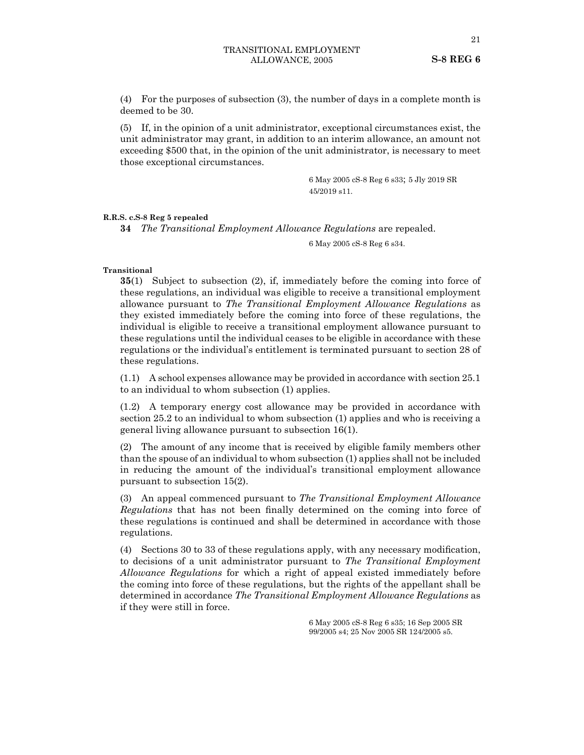(4) For the purposes of subsection (3), the number of days in a complete month is deemed to be 30.

(5) If, in the opinion of a unit administrator, exceptional circumstances exist, the unit administrator may grant, in addition to an interim allowance, an amount not exceeding \$500 that, in the opinion of the unit administrator, is necessary to meet those exceptional circumstances.

> 6 May 2005 cS-8 Reg 6 s33; 5 Jly 2019 SR 45/2019 s11.

#### **R.R.S. c.S-8 Reg 5 repealed**

**34** *The Transitional Employment Allowance Regulations* are repealed.

6 May 2005 cS-8 Reg 6 s34.

#### **Transitional**

**35**(1) Subject to subsection (2), if, immediately before the coming into force of these regulations, an individual was eligible to receive a transitional employment allowance pursuant to *The Transitional Employment Allowance Regulations* as they existed immediately before the coming into force of these regulations, the individual is eligible to receive a transitional employment allowance pursuant to these regulations until the individual ceases to be eligible in accordance with these regulations or the individual's entitlement is terminated pursuant to section 28 of these regulations.

(1.1) A school expenses allowance may be provided in accordance with section 25.1 to an individual to whom subsection (1) applies.

(1.2) A temporary energy cost allowance may be provided in accordance with section 25.2 to an individual to whom subsection (1) applies and who is receiving a general living allowance pursuant to subsection 16(1).

(2) The amount of any income that is received by eligible family members other than the spouse of an individual to whom subsection (1) applies shall not be included in reducing the amount of the individual's transitional employment allowance pursuant to subsection 15(2).

(3) An appeal commenced pursuant to *The Transitional Employment Allowance Regulations* that has not been finally determined on the coming into force of these regulations is continued and shall be determined in accordance with those regulations.

(4) Sections 30 to 33 of these regulations apply, with any necessary modification, to decisions of a unit administrator pursuant to *The Transitional Employment Allowance Regulations* for which a right of appeal existed immediately before the coming into force of these regulations, but the rights of the appellant shall be determined in accordance *The Transitional Employment Allowance Regulations* as if they were still in force.

> 6 May 2005 cS-8 Reg 6 s35; 16 Sep 2005 SR 99/2005 s4; 25 Nov 2005 SR 124/2005 s5.